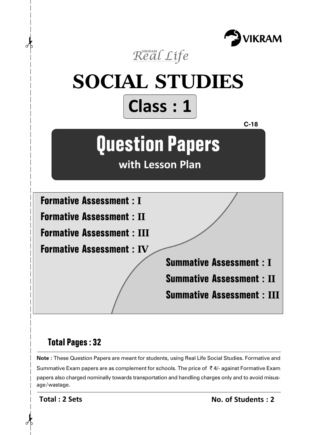



# **Total Pages : 32**

**Note :** These Question Papers are meant for students, using Real Life Social Studies. Formative and Summative Exam papers are as complement for schools. The price of  $\bar{\tau}$  4/- against Formative Exam papers also charged nominally towards transportation and handling charges only and to avoid misusage/wastage.

**Total : 2 Sets**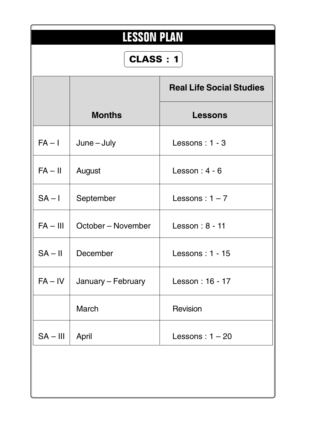|            | <b>LESSON PLAN</b><br><b>CLASS: 1</b> |                                 |  |  |  |  |  |  |
|------------|---------------------------------------|---------------------------------|--|--|--|--|--|--|
|            |                                       | <b>Real Life Social Studies</b> |  |  |  |  |  |  |
|            | <b>Months</b>                         | <b>Lessons</b>                  |  |  |  |  |  |  |
| $FA - I$   | $June - July$                         | Lessons: 1 - 3                  |  |  |  |  |  |  |
| $FA - II$  | August                                | Lesson: $4 - 6$                 |  |  |  |  |  |  |
| $SA - I$   | September                             | Lessons: $1 - 7$                |  |  |  |  |  |  |
| $FA - III$ | October – November                    | Lesson: 8 - 11                  |  |  |  |  |  |  |
| $SA - II$  | December                              | Lessons: 1 - 15                 |  |  |  |  |  |  |
| $FA - IV$  | January - February                    | Lesson: 16 - 17                 |  |  |  |  |  |  |
|            | March                                 | Revision                        |  |  |  |  |  |  |
| $SA - III$ | April                                 | Lessons: $1 - 20$               |  |  |  |  |  |  |
|            |                                       |                                 |  |  |  |  |  |  |
|            |                                       |                                 |  |  |  |  |  |  |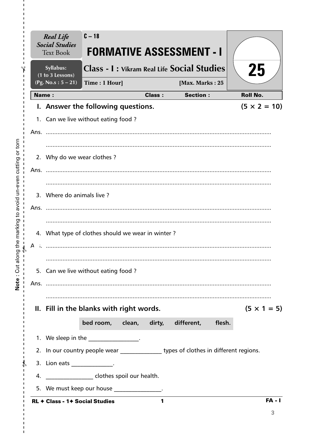|      | <b>Real Life</b><br><b>Social Studies</b><br><b>Text Book</b> | $C - 18$                                           |               | <b>FORMATIVE ASSESSMENT - I</b>                                                       |                     |
|------|---------------------------------------------------------------|----------------------------------------------------|---------------|---------------------------------------------------------------------------------------|---------------------|
|      | Syllabus:<br>(1 to 3 Lessons)                                 |                                                    |               | <b>Class - I: Vikram Real Life Social Studies</b>                                     | 25                  |
|      | (Pg. No.s: $5 - 21$ )                                         | Time: 1 Hour]                                      |               | [Max. Marks: 25                                                                       |                     |
|      | <b>Name:</b>                                                  |                                                    | <b>Class:</b> | <b>Section:</b>                                                                       | <b>Roll No.</b>     |
|      |                                                               | I. Answer the following questions.                 |               |                                                                                       | $(5 \times 2 = 10)$ |
|      |                                                               | 1. Can we live without eating food?                |               |                                                                                       |                     |
|      |                                                               |                                                    |               |                                                                                       |                     |
|      |                                                               |                                                    |               |                                                                                       |                     |
|      | 2. Why do we wear clothes?                                    |                                                    |               |                                                                                       |                     |
| Ans. |                                                               |                                                    |               |                                                                                       |                     |
|      |                                                               |                                                    |               |                                                                                       |                     |
|      | 3. Where do animals live?                                     |                                                    |               |                                                                                       |                     |
|      | Ans.                                                          |                                                    |               |                                                                                       |                     |
|      |                                                               |                                                    |               |                                                                                       |                     |
|      |                                                               | 4. What type of clothes should we wear in winter?  |               |                                                                                       |                     |
| А    |                                                               |                                                    |               |                                                                                       |                     |
|      |                                                               |                                                    |               |                                                                                       |                     |
|      |                                                               |                                                    |               |                                                                                       |                     |
|      |                                                               | 5. Can we live without eating food?                |               |                                                                                       |                     |
|      |                                                               |                                                    |               |                                                                                       |                     |
|      |                                                               |                                                    |               |                                                                                       |                     |
|      |                                                               | II. Fill in the blanks with right words.           |               |                                                                                       | $(5 \times 1 = 5)$  |
|      |                                                               |                                                    |               | bed room, clean, dirty, different, flesh.                                             |                     |
|      |                                                               | 1. We sleep in the __________________.             |               |                                                                                       |                     |
|      |                                                               |                                                    |               | 2. In our country people wear ________________ types of clothes in different regions. |                     |
|      | 3. Lion eats ________________.                                |                                                    |               |                                                                                       |                     |
|      |                                                               | 4. _____________________ clothes spoil our health. |               |                                                                                       |                     |
|      |                                                               | 5. We must keep our house _______________.         |               |                                                                                       |                     |
|      |                                                               |                                                    |               |                                                                                       |                     |
|      | RL + Class - 1+ Social Studies                                |                                                    | 1             |                                                                                       | $FA - I$            |

 $\mathbf I$  $\mathbf{I}$  $\frac{1}{1}$ 

 $\frac{1}{1}$   $\frac{1}{1}$   $\frac{1}{1}$   $\frac{1}{1}$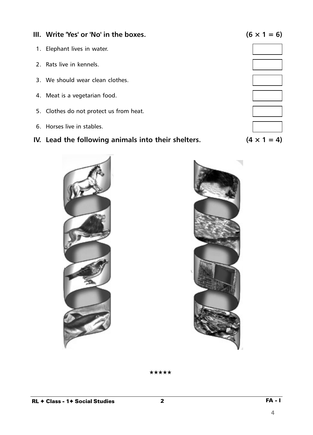**III.** Write 'Yes' or 'No' in the boxes.  $(6 \times 1 = 6)$ 1. Elephant lives in water. 2. Rats live in kennels. 3. We should wear clean clothes. 4. Meat is a vegetarian food. 5. Clothes do not protect us from heat. 6. Horses live in stables.

# **IV.** Lead the following animals into their shelters.  $(4 \times 1 = 4)$

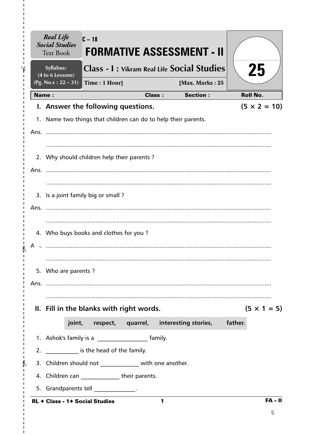|       | <b>Real Life</b><br><b>Social Studies</b><br><b>Text Book</b>  | $C - 18$                                      |               | <b>FORMATIVE ASSESSMENT - II</b>                  |         |                     |
|-------|----------------------------------------------------------------|-----------------------------------------------|---------------|---------------------------------------------------|---------|---------------------|
|       | Syllabus:<br>(4 to 6 Lessons)                                  |                                               |               | <b>Class - I: Vikram Real Life Social Studies</b> |         | 25                  |
|       | $(Pg. No.s: 22 - 31)$                                          | Time: 1 Hour]                                 |               | [Max. Marks: 25                                   |         |                     |
| Name: |                                                                |                                               | <b>Class:</b> | <b>Section:</b>                                   |         | <b>Roll No.</b>     |
|       | I. Answer the following questions.                             |                                               |               |                                                   |         | $(5 \times 2 = 10)$ |
|       | 1. Name two things that children can do to help their parents. |                                               |               |                                                   |         |                     |
|       |                                                                |                                               |               |                                                   |         |                     |
|       |                                                                |                                               |               |                                                   |         |                     |
|       | 2. Why should children help their parents ?                    |                                               |               |                                                   |         |                     |
|       |                                                                |                                               |               |                                                   |         |                     |
|       |                                                                |                                               |               |                                                   |         |                     |
|       | 3. Is a joint family big or small?                             |                                               |               |                                                   |         |                     |
|       |                                                                |                                               |               |                                                   |         |                     |
|       |                                                                |                                               |               |                                                   |         |                     |
|       | 4. Who buys books and clothes for you?                         |                                               |               |                                                   |         |                     |
| А     |                                                                |                                               |               |                                                   |         |                     |
|       |                                                                |                                               |               |                                                   |         |                     |
|       | 5. Who are parents?                                            |                                               |               |                                                   |         |                     |
|       |                                                                |                                               |               |                                                   |         |                     |
|       |                                                                |                                               |               |                                                   |         |                     |
|       | II. Fill in the blanks with right words.                       |                                               |               |                                                   |         | $(5 \times 1 = 5)$  |
|       |                                                                | joint, respect, quarrel, interesting stories, |               |                                                   | father. |                     |
|       | 1. Ashok's family is a ________________________ family.        |                                               |               |                                                   |         |                     |
|       | 2. _____________ is the head of the family.                    |                                               |               |                                                   |         |                     |
|       | 3. Children should not _____________ with one another.         |                                               |               |                                                   |         |                     |
|       | 4. Children can _______________their parents.                  |                                               |               |                                                   |         |                     |
|       | 5. Grandparents tell ______________.                           |                                               |               |                                                   |         |                     |
|       | <b>RL + Class - 1+ Social Studies</b>                          |                                               | 1             |                                                   |         | $FA - II$           |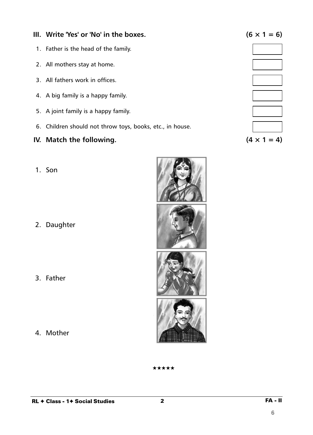# **III.** Write 'Yes' or 'No' in the boxes.  $(6 \times 1 = 6)$

- 1. Father is the head of the family.
- 2. All mothers stay at home.
- 3. All fathers work in offices.
- 4. A big family is a happy family.
- 5. A joint family is a happy family.
- 6. Children should not throw toys, books, etc., in house.

# **IV.** Match the following.  $(4 \times 1 = 4)$

1. Son

2. Daughter

3. Father

4. Mother



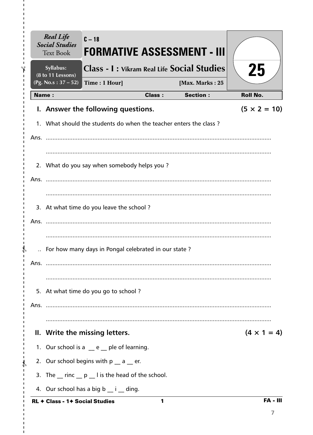| <b>Real Life</b><br><b>Social Studies</b><br><b>Text Book</b> | $C - 18$<br><b>FORMATIVE ASSESSMENT - III</b>                     |               |                 |                     |
|---------------------------------------------------------------|-------------------------------------------------------------------|---------------|-----------------|---------------------|
| Syllabus:<br>(8 to 11 Lessons)                                | <b>Class - I : Vikram Real Life Social Studies</b>                |               |                 | 25                  |
| (Pg. No.s: $37 - 52$ )                                        | Time: 1 Hour]                                                     |               | [Max. Marks: 25 |                     |
| <b>Name:</b>                                                  |                                                                   | <b>Class:</b> | <b>Section:</b> | <b>Roll No.</b>     |
|                                                               | I. Answer the following questions.                                |               |                 | $(5 \times 2 = 10)$ |
|                                                               | 1. What should the students do when the teacher enters the class? |               |                 |                     |
|                                                               |                                                                   |               |                 |                     |
|                                                               |                                                                   |               |                 |                     |
|                                                               | 2. What do you say when somebody helps you?                       |               |                 |                     |
|                                                               |                                                                   |               |                 |                     |
|                                                               |                                                                   |               |                 |                     |
|                                                               | 3. At what time do you leave the school?                          |               |                 |                     |
|                                                               |                                                                   |               |                 |                     |
|                                                               |                                                                   |               |                 |                     |
|                                                               | For how many days in Pongal celebrated in our state?              |               |                 |                     |
|                                                               |                                                                   |               |                 |                     |
|                                                               |                                                                   |               |                 |                     |
|                                                               | 5. At what time do you go to school?                              |               |                 |                     |
|                                                               |                                                                   |               |                 |                     |
|                                                               |                                                                   |               |                 |                     |
|                                                               | II. Write the missing letters.                                    |               |                 | $(4 \times 1 = 4)$  |
|                                                               | 1. Our school is a $e$ e ple of learning.                         |               |                 |                     |
|                                                               | 2. Our school begins with $p_$ a $p$ er.                          |               |                 |                     |
|                                                               | 3. The rinc p I is the head of the school.                        |               |                 |                     |
|                                                               | 4. Our school has a big b ___ i ___ ding.                         |               |                 |                     |
| <b>RL ← Class - 1← Social Studies</b>                         |                                                                   | 1             |                 | <b>FA - III</b>     |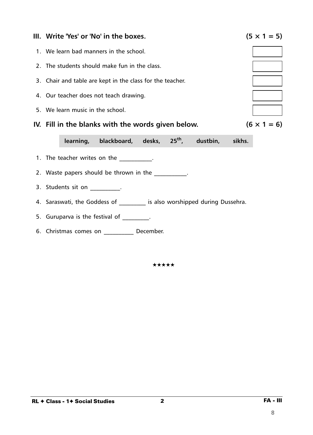

6. Christmas comes on \_\_\_\_\_\_\_\_\_\_ December.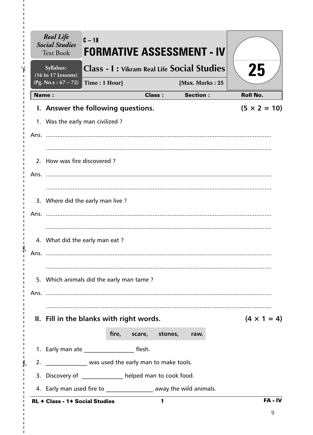| <b>Real Life</b><br><b>Social Studies</b><br><b>Text Book</b>      | $C - 18$      | <b>FORMATIVE ASSESSMENT - IV</b>                  |               |                 |                     |
|--------------------------------------------------------------------|---------------|---------------------------------------------------|---------------|-----------------|---------------------|
| Syllabus:<br>(16 to 17 Lessons)                                    |               | <b>Class - I: Vikram Real Life Social Studies</b> |               |                 | 25                  |
| (Pg. No.s: $67 - 72$ )                                             | Time: 1 Hour] |                                                   |               | [Max. Marks: 25 |                     |
| <b>Name:</b>                                                       |               |                                                   | <b>Class:</b> | <b>Section:</b> | <b>Roll No.</b>     |
| I. Answer the following questions.                                 |               |                                                   |               |                 | $(5 \times 2 = 10)$ |
| 1. Was the early man civilized?                                    |               |                                                   |               |                 |                     |
|                                                                    |               |                                                   |               |                 |                     |
|                                                                    |               |                                                   |               |                 |                     |
| 2. How was fire discovered?                                        |               |                                                   |               |                 |                     |
|                                                                    |               |                                                   |               |                 |                     |
|                                                                    |               |                                                   |               |                 |                     |
| 3. Where did the early man live?                                   |               |                                                   |               |                 |                     |
|                                                                    |               |                                                   |               |                 |                     |
|                                                                    |               |                                                   |               |                 |                     |
| 4. What did the early man eat?                                     |               |                                                   |               |                 |                     |
| Ans.                                                               |               |                                                   |               |                 |                     |
|                                                                    |               |                                                   |               |                 |                     |
| 5. Which animals did the early man tame?                           |               |                                                   |               |                 |                     |
|                                                                    |               |                                                   |               |                 |                     |
|                                                                    |               |                                                   |               |                 |                     |
| II. Fill in the blanks with right words.                           |               |                                                   |               |                 | $(4 \times 1 = 4)$  |
|                                                                    |               | fire, scare, stones,                              |               | raw.            |                     |
| 1. Early man ate ________________________ flesh.                   |               |                                                   |               |                 |                     |
| 2. Now was used the early man to make tools.                       |               |                                                   |               |                 |                     |
| 3. Discovery of ____________ helped man to cook food.              |               |                                                   |               |                 |                     |
| 4. Early man used fire to _________________ away the wild animals. |               |                                                   |               |                 |                     |
| <b>RL + Class - 1+ Social Studies</b>                              |               |                                                   | 1             |                 | FA-IV               |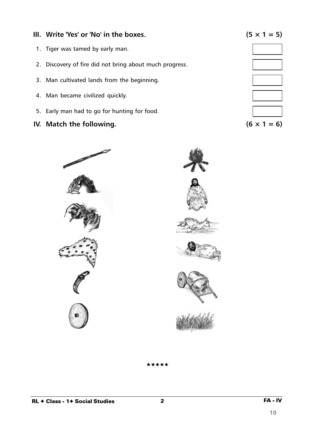# **III.** Write 'Yes' or 'No' in the boxes.  $(5 \times 1 = 5)$

- 1. Tiger was tamed by early man.
- 2. Discovery of fire did not bring about much progress.
- 3. Man cultivated lands from the beginning.
- 4. Man became civilized quickly.
- 5. Early man had to go for hunting for food.
- **IV.** Match the following.  $(6 \times 1 = 6)$















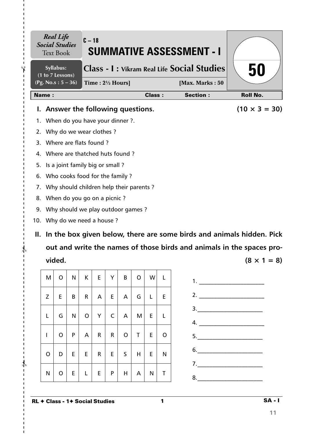| <b>Social Studies</b>                                                    | <b>Real Life</b><br><b>Text Book</b>    |    | $C - 18$ |                 |                |                |              |               |              | <b>SUMMATIVE ASSESSMENT - I</b>                                           |
|--------------------------------------------------------------------------|-----------------------------------------|----|----------|-----------------|----------------|----------------|--------------|---------------|--------------|---------------------------------------------------------------------------|
| <b>Class - I: Vikram Real Life Social Studies</b><br>Syllabus:           |                                         |    |          |                 |                |                |              |               |              | 50                                                                        |
| (1 to 7 Lessons)<br>(Pg. No.s: $5 - 36$ )<br>Time: $2\frac{1}{2}$ Hours] |                                         |    |          |                 |                |                |              |               |              | [Max. Marks: 50                                                           |
| Name:                                                                    |                                         |    |          |                 |                |                |              | <b>Class:</b> |              | <b>Section:</b><br><b>Roll No.</b>                                        |
| L.                                                                       | Answer the following questions.         |    |          |                 |                |                |              |               |              | $(10 \times 3 = 30)$                                                      |
| 1.                                                                       | When do you have your dinner ?.         |    |          |                 |                |                |              |               |              |                                                                           |
| 2.                                                                       | Why do we wear clothes?                 |    |          |                 |                |                |              |               |              |                                                                           |
| 3.                                                                       | Where are flats found?                  |    |          |                 |                |                |              |               |              |                                                                           |
| 4.                                                                       | Where are thatched huts found?          |    |          |                 |                |                |              |               |              |                                                                           |
| 5.                                                                       | Is a joint family big or small?         |    |          |                 |                |                |              |               |              |                                                                           |
| 6.                                                                       | Who cooks food for the family?          |    |          |                 |                |                |              |               |              |                                                                           |
| 7.                                                                       | Why should children help their parents? |    |          |                 |                |                |              |               |              |                                                                           |
| 8.                                                                       | When do you go on a picnic?             |    |          |                 |                |                |              |               |              |                                                                           |
| 9.                                                                       | Why should we play outdoor games?       |    |          |                 |                |                |              |               |              |                                                                           |
| 10. Why do we need a house?                                              |                                         |    |          |                 |                |                |              |               |              |                                                                           |
|                                                                          |                                         |    |          |                 |                |                |              |               |              | II. In the box given below, there are some birds and animals hidden. Pick |
|                                                                          |                                         |    |          |                 |                |                |              |               |              | out and write the names of those birds and animals in the spaces pro-     |
|                                                                          | vided.                                  |    |          |                 |                |                |              |               |              | $(8 \times 1 = 8)$                                                        |
| M                                                                        | $\circ$                                 | N. |          | $K$ $E$         |                | $Y \mid B$     | $\circ$      | W             | $\mathsf{L}$ |                                                                           |
|                                                                          |                                         |    |          |                 |                |                |              |               |              | 1.                                                                        |
| Z                                                                        | E.                                      | B  |          | $R \mid A \mid$ | E              | $\overline{A}$ | G            | L.            | E            | 2. $\qquad \qquad$                                                        |
|                                                                          |                                         |    |          | $O$ $Y$         | $\overline{C}$ |                |              |               |              | $\begin{array}{c}\n3.\n\end{array}$                                       |
| L                                                                        | G                                       | N. |          |                 |                | $\overline{A}$ | M            | E.            | L.           |                                                                           |
| L                                                                        | $\mathsf{O}$                            | P. |          | $A \mid R \mid$ | R              | $\overline{O}$ | $\mathsf{T}$ | E.            | $\circ$      | $\begin{array}{c}\n5.\n\end{array}$                                       |
|                                                                          |                                         |    |          |                 |                |                |              |               |              | 6.                                                                        |

 $-\frac{1}{6}$ 

 $\mathbf I$ 

 $\frac{1}{1}$ 

 $\frac{4}{1}$ 

 $\mathbf{I}$ 

I.

 $\mathbf I$  $\mathbf{I}$  $\mathbf I$  $\mathbf{I}$ 

 $- \frac{1}{2}$ 

 $\mathbf{I}$  $\mathbf{I}$  $\mathbf I$  $\mathbf{I}$  $\mathbf{I}$ 

 $\mathbf I$  $\mathbf i$ 

 $\mathbf{I}$ 

 $O|D|E|E|R|E|S|H|E|N$ 

 $N$ OELEPPHANT

7.\_\_\_\_\_\_\_\_\_\_\_\_\_\_\_\_\_\_\_\_\_\_

 $8.$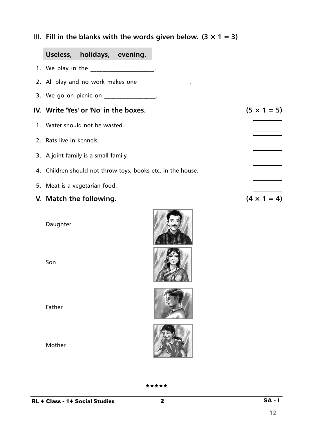**III.** Fill in the blanks with the words given below.  $(3 \times 1 = 3)$ 

# **Useless, holidays, evening.**

- 1. We play in the the control of the control of the control of the control of the control of the control of the control of the control of the control of the control of the control of the control of the control of the contr
- 2. All play and no work makes one \_\_\_\_\_\_\_\_\_\_\_\_\_\_\_\_\_\_.
- 3. We go on picnic on \_\_\_\_\_\_\_\_\_\_\_\_\_\_\_\_\_.

#### **IV.** Write 'Yes' or 'No' in the boxes.  $(5 \times 1 = 5)$

- 1. Water should not be wasted.
- 2. Rats live in kennels.
- 3. A joint family is a small family.
- 4. Children should not throw toys, books etc. in the house.
- 5. Meat is a vegetarian food.
- **V.** Match the following.  $(4 \times 1 = 4)$

Daughter

Son

Father

Mother







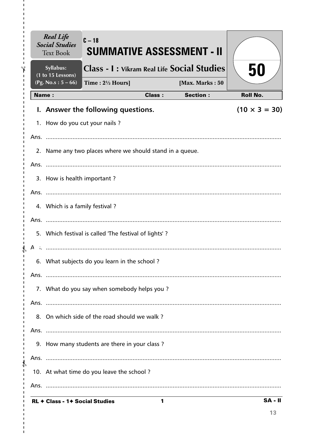|               | <b>Real Life</b><br><b>Social Studies</b><br><b>Text Book</b> | $C - 18$<br>SUMMATIVE ASSESSMENT - II                    |               |                 |                      |
|---------------|---------------------------------------------------------------|----------------------------------------------------------|---------------|-----------------|----------------------|
|               | Syllabus:<br>$(1 to 15$ Lessons)                              | <b>Class - I: Vikram Real Life Social Studies</b>        |               |                 | 50                   |
|               | (Pg. No.s: $5 - 66$ )                                         | Time: $2\frac{1}{2}$ Hours]                              |               | [Max. Marks: 50 |                      |
|               | <b>Name:</b>                                                  |                                                          | <b>Class:</b> | <b>Section:</b> | <b>Roll No.</b>      |
|               |                                                               | I. Answer the following questions.                       |               |                 | $(10 \times 3 = 30)$ |
|               | 1. How do you cut your nails?                                 |                                                          |               |                 |                      |
|               |                                                               |                                                          |               |                 |                      |
|               |                                                               | 2. Name any two places where we should stand in a queue. |               |                 |                      |
|               |                                                               |                                                          |               |                 |                      |
|               | 3. How is health important?                                   |                                                          |               |                 |                      |
|               |                                                               |                                                          |               |                 |                      |
|               | 4. Which is a family festival?                                |                                                          |               |                 |                      |
|               |                                                               |                                                          |               |                 |                      |
|               |                                                               | 5. Which festival is called 'The festival of lights'?    |               |                 |                      |
|               |                                                               |                                                          |               |                 |                      |
|               |                                                               | 6. What subjects do you learn in the school?             |               |                 |                      |
|               |                                                               |                                                          |               |                 |                      |
|               |                                                               | 7. What do you say when somebody helps you?              |               |                 |                      |
|               |                                                               |                                                          |               |                 |                      |
|               |                                                               | 8. On which side of the road should we walk?             |               |                 |                      |
|               |                                                               |                                                          |               |                 |                      |
|               |                                                               | 9. How many students are there in your class?            |               |                 |                      |
| J.            |                                                               |                                                          |               |                 |                      |
| $\frac{1}{4}$ |                                                               | 10. At what time do you leave the school?                |               |                 |                      |
| ı             |                                                               |                                                          |               |                 |                      |
|               | <b>RL ← Class - 1← Social Studies</b>                         |                                                          | 1             |                 | $SA - II$            |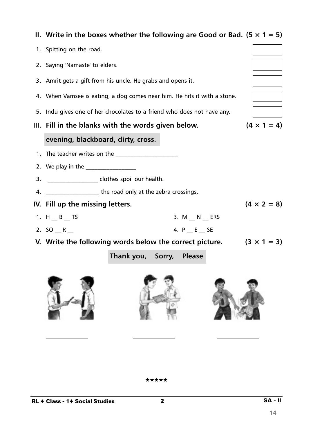|    | II. Write in the boxes whether the following are Good or Bad. $(5 \times 1 = 5)$ |                          |  |            |  |                    |  |  |
|----|----------------------------------------------------------------------------------|--------------------------|--|------------|--|--------------------|--|--|
|    | 1. Spitting on the road.                                                         |                          |  |            |  |                    |  |  |
|    | 2. Saying 'Namaste' to elders.                                                   |                          |  |            |  |                    |  |  |
|    | 3. Amrit gets a gift from his uncle. He grabs and opens it.                      |                          |  |            |  |                    |  |  |
|    | 4. When Vamsee is eating, a dog comes near him. He hits it with a stone.         |                          |  |            |  |                    |  |  |
|    | 5. Indu gives one of her chocolates to a friend who does not have any.           |                          |  |            |  |                    |  |  |
|    | III. Fill in the blanks with the words given below.                              |                          |  |            |  | $(4 \times 1 = 4)$ |  |  |
|    | evening, blackboard, dirty, cross.                                               |                          |  |            |  |                    |  |  |
|    | 1. The teacher writes on the                                                     |                          |  |            |  |                    |  |  |
|    | 2. We play in the                                                                |                          |  |            |  |                    |  |  |
| 3. | _____________________ clothes spoil our health.                                  |                          |  |            |  |                    |  |  |
| 4. | the road only at the zebra crossings.                                            |                          |  |            |  |                    |  |  |
|    | IV. Fill up the missing letters.                                                 |                          |  |            |  | $(4 \times 2 = 8)$ |  |  |
|    | 1. $H_B$ TS                                                                      |                          |  | 3. M N ERS |  |                    |  |  |
|    | 2. $SO_R$                                                                        |                          |  | 4. P E SE  |  |                    |  |  |
|    | V. Write the following words below the correct picture.                          |                          |  |            |  | $(3 \times 1 = 3)$ |  |  |
|    |                                                                                  | Thank you, Sorry, Please |  |            |  |                    |  |  |
|    |                                                                                  |                          |  |            |  |                    |  |  |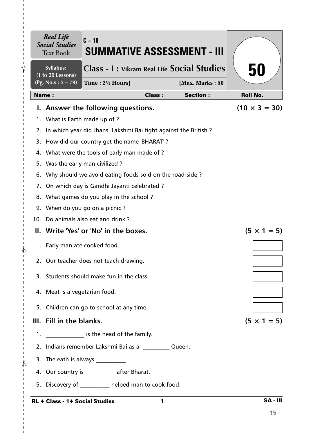|    | <b>Real Life</b><br><b>Social Studies</b><br><b>Text Book</b> | $C - 18$<br>SUMMATIVE ASSESSMENT - III                          |               |                 |                      |
|----|---------------------------------------------------------------|-----------------------------------------------------------------|---------------|-----------------|----------------------|
|    | Syllabus:<br>(1 to 20 Lessons)                                | <b>Class - I: Vikram Real Life Social Studies</b>               |               |                 | 50                   |
|    | (Pg. No.s: 5 – 79)                                            | Time: 21/2 Hours]                                               |               | [Max. Marks: 50 |                      |
|    | <b>Name:</b>                                                  |                                                                 | <b>Class:</b> | <b>Section:</b> | <b>Roll No.</b>      |
|    |                                                               | I. Answer the following questions.                              |               |                 | $(10 \times 3 = 30)$ |
|    | 1. What is Earth made up of ?                                 |                                                                 |               |                 |                      |
| 2. |                                                               | In which year did Jhansi Lakshmi Bai fight against the British? |               |                 |                      |
|    |                                                               | 3. How did our country get the name 'BHARAT'?                   |               |                 |                      |
|    |                                                               | 4. What were the tools of early man made of?                    |               |                 |                      |
| 5. |                                                               | Was the early man civilized?                                    |               |                 |                      |
| 6. |                                                               | Why should we avoid eating foods sold on the road-side?         |               |                 |                      |
| 7. |                                                               | On which day is Gandhi Jayanti celebrated?                      |               |                 |                      |
|    |                                                               | 8. What games do you play in the school?                        |               |                 |                      |
| 9. |                                                               | When do you go on a picnic?                                     |               |                 |                      |
|    |                                                               | 10. Do animals also eat and drink ?.                            |               |                 |                      |
|    |                                                               | II. Write 'Yes' or 'No' in the boxes.                           |               |                 | $(5 \times 1 = 5)$   |
|    |                                                               | Early man ate cooked food.                                      |               |                 |                      |
|    |                                                               | 2. Our teacher does not teach drawing.                          |               |                 |                      |
|    |                                                               | 3. Students should make fun in the class.                       |               |                 |                      |
|    | 4. Meat is a vegetarian food.                                 |                                                                 |               |                 |                      |
|    |                                                               | 5. Children can go to school at any time.                       |               |                 |                      |
|    | III. Fill in the blanks.                                      |                                                                 |               |                 | $(5 \times 1 = 5)$   |
|    |                                                               | 1. _______________ is the head of the family.                   |               |                 |                      |
|    |                                                               | 2. Indians remember Lakshmi Bai as a Cueen.                     |               |                 |                      |
|    |                                                               | 3. The eath is always ___________                               |               |                 |                      |
|    |                                                               | 4. Our country is ____________ after Bharat.                    |               |                 |                      |
|    |                                                               | 5. Discovery of helped man to cook food.                        |               |                 |                      |
|    | <b>RL ← Class - 1← Social Studies</b>                         |                                                                 | 1             |                 | <b>SA-III</b>        |

### RL ✦ Class - 1✦ Social Studies

 $- - \frac{2}{3}$ 

I.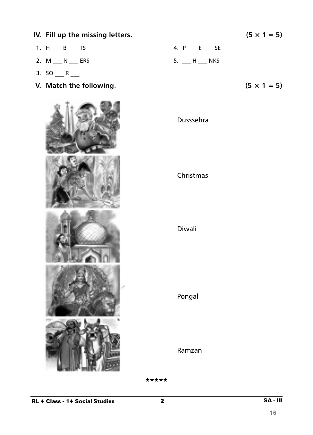1. H  $_B$  TS 4. P  $_E$  SE 2. M \_\_\_ N \_\_\_ ERS 5. \_\_ H \_\_\_ NKS 3.  $SO_{11}R_{22}$ **V.** Match the following.  $(5 \times 1 = 5)$ Dusssehra Christmas Diwali Pongal Ramzan

★★★★★

 $2 \overline{\qquad \qquad }$  SA - III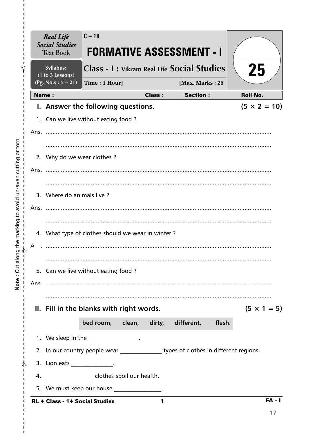|      | <b>Real Life</b><br><b>Social Studies</b><br><b>Text Book</b> | $C - 18$      |               | <b>FORMATIVE ASSESSMENT - I</b>                                                       |                     |
|------|---------------------------------------------------------------|---------------|---------------|---------------------------------------------------------------------------------------|---------------------|
|      | Syllabus:<br>(1 to 3 Lessons)                                 |               |               | <b>Class - I: Vikram Real Life Social Studies</b>                                     | 25                  |
|      | (Pg. No.s: $5 - 21$ )                                         | Time: 1 Hour] |               | [Max. Marks: 25                                                                       |                     |
|      | <b>Name:</b>                                                  |               | <b>Class:</b> | <b>Section:</b>                                                                       | <b>Roll No.</b>     |
|      | I. Answer the following questions.                            |               |               |                                                                                       | $(5 \times 2 = 10)$ |
|      | 1. Can we live without eating food?                           |               |               |                                                                                       |                     |
|      |                                                               |               |               |                                                                                       |                     |
|      |                                                               |               |               |                                                                                       |                     |
|      | 2. Why do we wear clothes?                                    |               |               |                                                                                       |                     |
| Ans. |                                                               |               |               |                                                                                       |                     |
|      |                                                               |               |               |                                                                                       |                     |
|      | 3. Where do animals live?                                     |               |               |                                                                                       |                     |
|      | Ans.                                                          |               |               |                                                                                       |                     |
|      |                                                               |               |               |                                                                                       |                     |
|      | 4. What type of clothes should we wear in winter?             |               |               |                                                                                       |                     |
| А    |                                                               |               |               |                                                                                       |                     |
|      |                                                               |               |               |                                                                                       |                     |
|      | 5. Can we live without eating food?                           |               |               |                                                                                       |                     |
|      |                                                               |               |               |                                                                                       |                     |
|      |                                                               |               |               |                                                                                       |                     |
|      | II. Fill in the blanks with right words.                      |               |               |                                                                                       | $(5 \times 1 = 5)$  |
|      |                                                               |               |               | bed room, clean, dirty, different, flesh.                                             |                     |
|      | 1. We sleep in the __________________.                        |               |               |                                                                                       |                     |
|      |                                                               |               |               | 2. In our country people wear ________________ types of clothes in different regions. |                     |
|      | 3. Lion eats ________________.                                |               |               |                                                                                       |                     |
| 4.   | _____________________ clothes spoil our health.               |               |               |                                                                                       |                     |
|      | 5. We must keep our house _______________.                    |               |               |                                                                                       |                     |
|      | <b>RL + Class - 1+ Social Studies</b>                         |               | 1             |                                                                                       | $FA - I$            |
|      |                                                               |               |               |                                                                                       |                     |

 $\mathbf I$  $\mathbf I$  $\mathbf I$  $\frac{1}{1}$ 

 $\frac{1}{1}$   $\frac{1}{1}$   $\frac{1}{1}$   $\frac{1}{1}$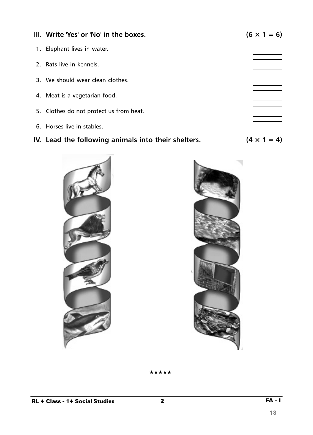**III.** Write 'Yes' or 'No' in the boxes.  $(6 \times 1 = 6)$ 1. Elephant lives in water. 2. Rats live in kennels. 3. We should wear clean clothes. 4. Meat is a vegetarian food. 5. Clothes do not protect us from heat. 6. Horses live in stables.

# **IV.** Lead the following animals into their shelters.  $(4 \times 1 = 4)$

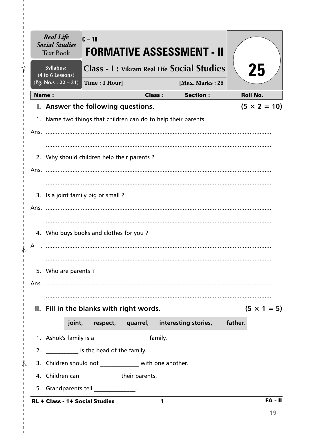|       | <b>Real Life</b><br><b>Social Studies</b><br><b>Text Book</b>  | $C - 18$                                      |               | <b>FORMATIVE ASSESSMENT - II</b>                  |         |                     |
|-------|----------------------------------------------------------------|-----------------------------------------------|---------------|---------------------------------------------------|---------|---------------------|
|       | Syllabus:<br>(4 to 6 Lessons)                                  |                                               |               | <b>Class - I: Vikram Real Life Social Studies</b> |         | 25                  |
|       | $(Pg. No.s: 22 - 31)$                                          | Time: 1 Hour]                                 |               | [Max. Marks: 25                                   |         |                     |
| Name: |                                                                |                                               | <b>Class:</b> | <b>Section:</b>                                   |         | <b>Roll No.</b>     |
|       | I. Answer the following questions.                             |                                               |               |                                                   |         | $(5 \times 2 = 10)$ |
|       | 1. Name two things that children can do to help their parents. |                                               |               |                                                   |         |                     |
|       |                                                                |                                               |               |                                                   |         |                     |
|       |                                                                |                                               |               |                                                   |         |                     |
|       | 2. Why should children help their parents ?                    |                                               |               |                                                   |         |                     |
|       |                                                                |                                               |               |                                                   |         |                     |
|       |                                                                |                                               |               |                                                   |         |                     |
|       | 3. Is a joint family big or small?                             |                                               |               |                                                   |         |                     |
|       |                                                                |                                               |               |                                                   |         |                     |
|       |                                                                |                                               |               |                                                   |         |                     |
|       | 4. Who buys books and clothes for you?                         |                                               |               |                                                   |         |                     |
| А     |                                                                |                                               |               |                                                   |         |                     |
|       |                                                                |                                               |               |                                                   |         |                     |
|       | 5. Who are parents?                                            |                                               |               |                                                   |         |                     |
|       |                                                                |                                               |               |                                                   |         |                     |
|       |                                                                |                                               |               |                                                   |         |                     |
|       | II. Fill in the blanks with right words.                       |                                               |               |                                                   |         | $(5 \times 1 = 5)$  |
|       |                                                                | joint, respect, quarrel, interesting stories, |               |                                                   | father. |                     |
|       | 1. Ashok's family is a ________________________ family.        |                                               |               |                                                   |         |                     |
|       | 2. _____________ is the head of the family.                    |                                               |               |                                                   |         |                     |
|       | 3. Children should not _____________ with one another.         |                                               |               |                                                   |         |                     |
|       | 4. Children can _______________their parents.                  |                                               |               |                                                   |         |                     |
|       | 5. Grandparents tell ______________.                           |                                               |               |                                                   |         |                     |
|       | <b>RL + Class - 1+ Social Studies</b>                          |                                               | 1             |                                                   |         | $FA - II$           |

 $\mathbf{I}$ 

I.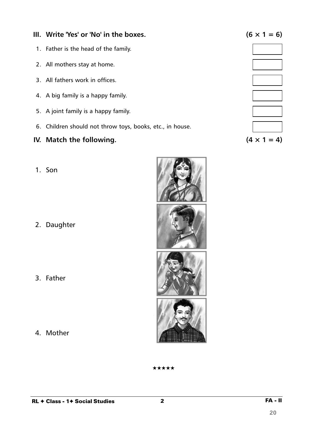# **III.** Write 'Yes' or 'No' in the boxes.  $(6 \times 1 = 6)$

- 1. Father is the head of the family.
- 2. All mothers stay at home.
- 3. All fathers work in offices.
- 4. A big family is a happy family.
- 5. A joint family is a happy family.
- 6. Children should not throw toys, books, etc., in house.

# **IV.** Match the following.  $(4 \times 1 = 4)$

1. Son

2. Daughter

3. Father

4. Mother





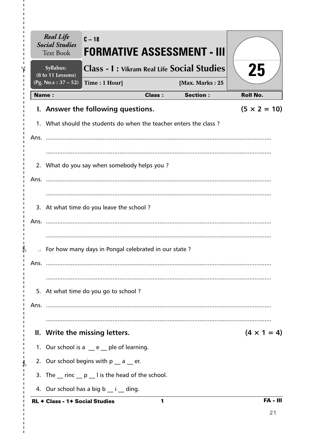|            | <b>Real Life</b><br><b>Social Studies</b><br><b>Text Book</b> | $C - 18$<br><b>FORMATIVE ASSESSMENT - III</b>                     |               |                 |                     |
|------------|---------------------------------------------------------------|-------------------------------------------------------------------|---------------|-----------------|---------------------|
|            | Syllabus:<br>(8 to 11 Lessons)                                | <b>Class - I : Vikram Real Life Social Studies</b>                |               |                 | 25                  |
|            | (Pg. No.s: $37 - 52$ )                                        | Time: 1 Hour]                                                     |               | [Max. Marks: 25 |                     |
|            | <b>Name:</b>                                                  |                                                                   | <b>Class:</b> | <b>Section:</b> | <b>Roll No.</b>     |
|            |                                                               | I. Answer the following questions.                                |               |                 | $(5 \times 2 = 10)$ |
|            |                                                               | 1. What should the students do when the teacher enters the class? |               |                 |                     |
|            |                                                               |                                                                   |               |                 |                     |
|            |                                                               |                                                                   |               |                 |                     |
|            |                                                               | 2. What do you say when somebody helps you?                       |               |                 |                     |
|            |                                                               |                                                                   |               |                 |                     |
|            |                                                               |                                                                   |               |                 |                     |
|            |                                                               | 3. At what time do you leave the school?                          |               |                 |                     |
|            |                                                               |                                                                   |               |                 |                     |
|            |                                                               |                                                                   |               |                 |                     |
|            |                                                               | For how many days in Pongal celebrated in our state?              |               |                 |                     |
|            |                                                               |                                                                   |               |                 |                     |
|            |                                                               |                                                                   |               |                 |                     |
|            |                                                               | 5. At what time do you go to school?                              |               |                 |                     |
|            |                                                               |                                                                   |               |                 |                     |
|            |                                                               |                                                                   |               |                 |                     |
|            |                                                               | II. Write the missing letters.                                    |               |                 | $(4 \times 1 = 4)$  |
|            |                                                               | 1. Our school is a $e$ e ple of learning.                         |               |                 |                     |
| $\sqrt{2}$ |                                                               | 2. Our school begins with $p_a = a$ er.                           |               |                 |                     |
|            |                                                               | 3. The rinc p I is the head of the school.                        |               |                 |                     |
|            |                                                               | 4. Our school has a big b ___ i ___ ding.                         |               |                 |                     |
|            | <b>RL ← Class - 1← Social Studies</b>                         |                                                                   | 1             |                 | <b>FA - III</b>     |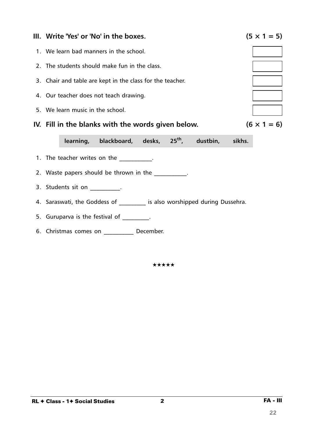

6. Christmas comes on \_\_\_\_\_\_\_\_\_\_ December.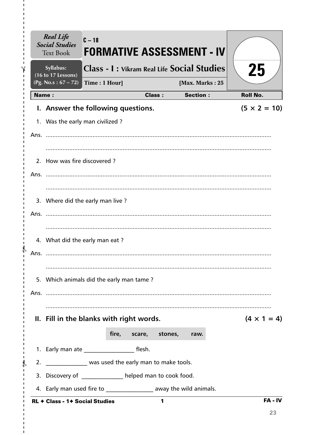| <b>Real Life</b><br><b>Social Studies</b><br><b>Text Book</b>     | $C - 18$<br>FORMATIVE ASSESSMENT - IV             |                      |                 |                     |
|-------------------------------------------------------------------|---------------------------------------------------|----------------------|-----------------|---------------------|
| Syllabus:<br>(16 to 17 Lessons)                                   | <b>Class - I: Vikram Real Life Social Studies</b> |                      |                 | 25                  |
| (Pg. No.s: $67 - 72$ )                                            | Time: 1 Hour]                                     |                      | [Max. Marks: 25 |                     |
| <b>Name:</b>                                                      |                                                   | <b>Class:</b>        | <b>Section:</b> | <b>Roll No.</b>     |
| I. Answer the following questions.                                |                                                   |                      |                 | $(5 \times 2 = 10)$ |
| 1. Was the early man civilized?                                   |                                                   |                      |                 |                     |
|                                                                   |                                                   |                      |                 |                     |
|                                                                   |                                                   |                      |                 |                     |
| 2. How was fire discovered?                                       |                                                   |                      |                 |                     |
|                                                                   |                                                   |                      |                 |                     |
|                                                                   |                                                   |                      |                 |                     |
| 3. Where did the early man live?                                  |                                                   |                      |                 |                     |
|                                                                   |                                                   |                      |                 |                     |
|                                                                   |                                                   |                      |                 |                     |
| 4. What did the early man eat?                                    |                                                   |                      |                 |                     |
| Ans.                                                              |                                                   |                      |                 |                     |
|                                                                   |                                                   |                      |                 |                     |
| 5. Which animals did the early man tame?                          |                                                   |                      |                 |                     |
|                                                                   |                                                   |                      |                 |                     |
|                                                                   |                                                   |                      |                 |                     |
| II. Fill in the blanks with right words.                          |                                                   |                      |                 | $(4 \times 1 = 4)$  |
|                                                                   |                                                   | fire, scare, stones, | raw.            |                     |
| 1. Early man ate ________________________ flesh.                  |                                                   |                      |                 |                     |
| 2. Now was used the early man to make tools.                      |                                                   |                      |                 |                     |
| 3. Discovery of ____________ helped man to cook food.             |                                                   |                      |                 |                     |
| 4. Early man used fire to ________________ away the wild animals. |                                                   |                      |                 |                     |
| RL + Class - 1+ Social Studies                                    |                                                   | 1                    |                 | FA-IV               |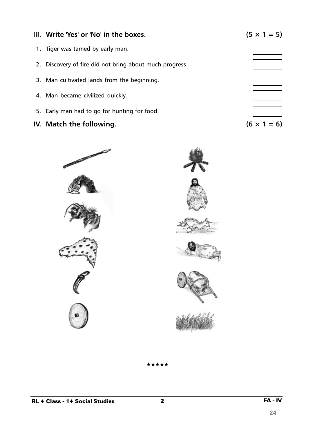# **III.** Write 'Yes' or 'No' in the boxes.  $(5 \times 1 = 5)$

- 1. Tiger was tamed by early man.
- 2. Discovery of fire did not bring about much progress.
- 3. Man cultivated lands from the beginning.
- 4. Man became civilized quickly.
- 5. Early man had to go for hunting for food.
- **IV.** Match the following.  $(6 \times 1 = 6)$















★★★★★

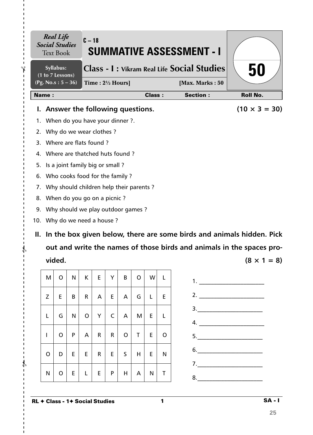|                               | <b>Social Studies</b>                | <b>Real Life</b><br><b>Text Book</b>    |    | $C - 18$                    |                                                         |           |                |         |               |                 | <b>SUMMATIVE ASSESSMENT - I</b>                                       |                                                                           |  |
|-------------------------------|--------------------------------------|-----------------------------------------|----|-----------------------------|---------------------------------------------------------|-----------|----------------|---------|---------------|-----------------|-----------------------------------------------------------------------|---------------------------------------------------------------------------|--|
| Syllabus:<br>(1 to 7 Lessons) |                                      |                                         |    |                             | <b>Class - I: Vikram Real Life Social Studies</b><br>50 |           |                |         |               |                 |                                                                       |                                                                           |  |
| (Pg. No.s: $5 - 36$ )         |                                      |                                         |    | Time: $2\frac{1}{2}$ Hours] |                                                         |           |                |         |               | [Max. Marks: 50 |                                                                       |                                                                           |  |
|                               | <b>Name:</b>                         |                                         |    |                             |                                                         |           |                |         | <b>Class:</b> |                 | <b>Section:</b>                                                       | <b>Roll No.</b>                                                           |  |
|                               | L.                                   | Answer the following questions.         |    |                             |                                                         |           |                |         |               |                 |                                                                       | $(10 \times 3 = 30)$                                                      |  |
|                               | 1.                                   | When do you have your dinner ?.         |    |                             |                                                         |           |                |         |               |                 |                                                                       |                                                                           |  |
| 2.                            |                                      | Why do we wear clothes?                 |    |                             |                                                         |           |                |         |               |                 |                                                                       |                                                                           |  |
|                               | 3.                                   | Where are flats found?                  |    |                             |                                                         |           |                |         |               |                 |                                                                       |                                                                           |  |
|                               | 4.                                   | Where are thatched huts found?          |    |                             |                                                         |           |                |         |               |                 |                                                                       |                                                                           |  |
| 5.                            |                                      | Is a joint family big or small?         |    |                             |                                                         |           |                |         |               |                 |                                                                       |                                                                           |  |
|                               | Who cooks food for the family?<br>6. |                                         |    |                             |                                                         |           |                |         |               |                 |                                                                       |                                                                           |  |
|                               | $\prime$ .                           | Why should children help their parents? |    |                             |                                                         |           |                |         |               |                 |                                                                       |                                                                           |  |
| 8.                            |                                      | When do you go on a picnic?             |    |                             |                                                         |           |                |         |               |                 |                                                                       |                                                                           |  |
|                               | 9.                                   | Why should we play outdoor games?       |    |                             |                                                         |           |                |         |               |                 |                                                                       |                                                                           |  |
|                               | 10. Why do we need a house?          |                                         |    |                             |                                                         |           |                |         |               |                 |                                                                       |                                                                           |  |
|                               |                                      |                                         |    |                             |                                                         |           |                |         |               |                 |                                                                       | II. In the box given below, there are some birds and animals hidden. Pick |  |
|                               |                                      |                                         |    |                             |                                                         |           |                |         |               |                 | out and write the names of those birds and animals in the spaces pro- |                                                                           |  |
|                               |                                      | vided.                                  |    |                             |                                                         |           |                |         |               |                 |                                                                       | $(8 \times 1 = 8)$                                                        |  |
|                               |                                      |                                         |    |                             |                                                         |           |                |         |               |                 |                                                                       |                                                                           |  |
|                               | M                                    | $\mathsf{O}$                            | N  |                             | $K \mid E \mid$                                         |           | $Y \mid B$     | $\circ$ | $\mathsf{W}$  | $\mathsf{L}$    | 1.                                                                    |                                                                           |  |
|                               | Z.                                   | E.                                      | B  |                             | $R \mid A \mid$                                         | E         | $\overline{A}$ | G       | L.            | E.              |                                                                       |                                                                           |  |
|                               |                                      |                                         |    |                             |                                                         |           |                |         |               |                 |                                                                       | $\begin{array}{c}\n3.\n\end{array}$                                       |  |
|                               | L                                    | G                                       | N. |                             | $O$ $Y$                                                 | $\subset$ | $\overline{A}$ | M       | E.            | L.              |                                                                       |                                                                           |  |
|                               | $\mathbf{L}$                         | $\mathsf{O}$                            | P. |                             | $A \mid R \mid$                                         | R         | $\overline{O}$ | T       | E.            | $\mathsf{O}$    |                                                                       |                                                                           |  |

RL ✦ Class - 1✦ Social Studies

 $-\frac{1}{6}$ 

 $\mathbf I$ 

 $\frac{1}{1}$ 

 $\frac{4}{1}$ 

 $\mathbf{I}$ 

I.

 $\mathbf I$  $\mathbf{I}$  $\mathbf{I}$  $\mathbf{I}$ 

 $- \frac{1}{2}$ 

 $\mathbf{I}$  $\mathbf{I}$  $\mathbf I$  $\mathbf{I}$  $\mathbf{I}$ 

 $\mathbf I$  $\mathbf{I}$ 

I.

 $O|D|E|E|R|E|S|H|E|N$ 

N | O | E | L | E | P | H | A | N | T

 $\begin{array}{c}\n6.\end{array}$ 

7.\_\_\_\_\_\_\_\_\_\_\_\_\_\_\_\_\_\_\_\_\_\_

 $8.$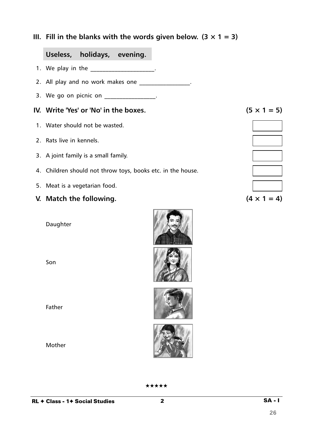**III.** Fill in the blanks with the words given below.  $(3 \times 1 = 3)$ 

# **Useless, holidays, evening.**

- 1. We play in the the control of the control of the control of the control of the control of the control of the control of the control of the control of the control of the control of the control of the control of the contr
- 2. All play and no work makes one \_\_\_\_\_\_\_\_\_\_\_\_\_\_\_\_\_\_.
- 3. We go on picnic on \_\_\_\_\_\_\_\_\_\_\_\_\_\_\_\_\_.

#### **IV.** Write 'Yes' or 'No' in the boxes.  $(5 \times 1 = 5)$

- 1. Water should not be wasted.
- 2. Rats live in kennels.
- 3. A joint family is a small family.
- 4. Children should not throw toys, books etc. in the house.
- 5. Meat is a vegetarian food.
- **V.** Match the following.  $(4 \times 1 = 4)$

Daughter

Son

Father

Mother





| the contract of the contract of |  |
|---------------------------------|--|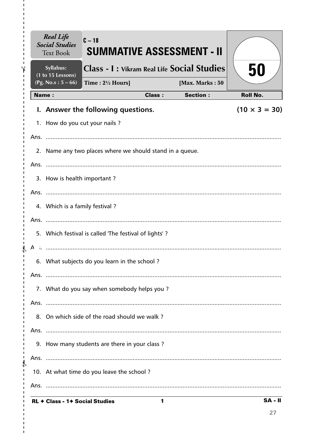|               | <b>Real Life</b><br><b>Social Studies</b><br><b>Text Book</b> | $C - 18$<br>SUMMATIVE ASSESSMENT - II                    |               |                 |                      |
|---------------|---------------------------------------------------------------|----------------------------------------------------------|---------------|-----------------|----------------------|
|               | Syllabus:<br>$(1 to 15$ Lessons)                              | <b>Class - I: Vikram Real Life Social Studies</b>        |               |                 | 50                   |
|               | (Pg. No.s: $5 - 66$ )                                         | Time: $2\frac{1}{2}$ Hours]                              |               | [Max. Marks: 50 |                      |
|               | <b>Name:</b>                                                  |                                                          | <b>Class:</b> | <b>Section:</b> | <b>Roll No.</b>      |
|               |                                                               | I. Answer the following questions.                       |               |                 | $(10 \times 3 = 30)$ |
|               | 1. How do you cut your nails?                                 |                                                          |               |                 |                      |
|               |                                                               |                                                          |               |                 |                      |
|               |                                                               | 2. Name any two places where we should stand in a queue. |               |                 |                      |
|               |                                                               |                                                          |               |                 |                      |
|               | 3. How is health important?                                   |                                                          |               |                 |                      |
|               |                                                               |                                                          |               |                 |                      |
|               | 4. Which is a family festival?                                |                                                          |               |                 |                      |
|               |                                                               |                                                          |               |                 |                      |
|               |                                                               | 5. Which festival is called 'The festival of lights'?    |               |                 |                      |
|               |                                                               |                                                          |               |                 |                      |
|               |                                                               | 6. What subjects do you learn in the school?             |               |                 |                      |
|               |                                                               |                                                          |               |                 |                      |
|               |                                                               | 7. What do you say when somebody helps you?              |               |                 |                      |
|               |                                                               |                                                          |               |                 |                      |
|               |                                                               | 8. On which side of the road should we walk?             |               |                 |                      |
|               |                                                               |                                                          |               |                 |                      |
|               |                                                               | 9. How many students are there in your class?            |               |                 |                      |
| J.            |                                                               |                                                          |               |                 |                      |
| $\frac{1}{4}$ |                                                               | 10. At what time do you leave the school?                |               |                 |                      |
| ı             |                                                               |                                                          |               |                 |                      |
|               | <b>RL ← Class - 1← Social Studies</b>                         |                                                          | 1             |                 | $SA - II$            |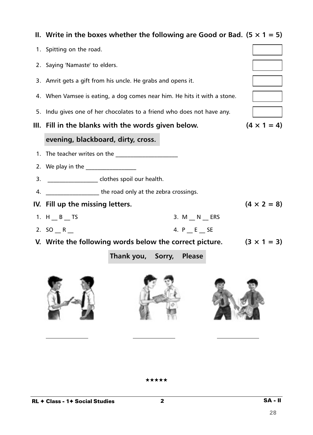|    | II. Write in the boxes whether the following are Good or Bad. $(5 \times 1 = 5)$ |              |  |                    |  |  |  |  |
|----|----------------------------------------------------------------------------------|--------------|--|--------------------|--|--|--|--|
|    | 1. Spitting on the road.                                                         |              |  |                    |  |  |  |  |
|    | 2. Saying 'Namaste' to elders.                                                   |              |  |                    |  |  |  |  |
|    | 3. Amrit gets a gift from his uncle. He grabs and opens it.                      |              |  |                    |  |  |  |  |
|    | 4. When Vamsee is eating, a dog comes near him. He hits it with a stone.         |              |  |                    |  |  |  |  |
|    | 5. Indu gives one of her chocolates to a friend who does not have any.           |              |  |                    |  |  |  |  |
|    | III. Fill in the blanks with the words given below.                              |              |  | $(4 \times 1 = 4)$ |  |  |  |  |
|    | evening, blackboard, dirty, cross.                                               |              |  |                    |  |  |  |  |
|    | 1. The teacher writes on the ________________                                    |              |  |                    |  |  |  |  |
|    | 2. We play in the                                                                |              |  |                    |  |  |  |  |
| 3. | ______________________ clothes spoil our health.                                 |              |  |                    |  |  |  |  |
| 4. | <b>________________________the road only at the zebra crossings.</b>             |              |  |                    |  |  |  |  |
|    | IV. Fill up the missing letters.                                                 |              |  | $(4 \times 2 = 8)$ |  |  |  |  |
|    | 1. $H$ $B$ TS                                                                    | 3. $M N$ ERS |  |                    |  |  |  |  |
|    | 2. $SO$ R                                                                        | 4. P E SE    |  |                    |  |  |  |  |
|    | V. Write the following words below the correct picture.                          |              |  | $(3 \times 1 = 3)$ |  |  |  |  |
|    | Thank you, Sorry, Please                                                         |              |  |                    |  |  |  |  |
|    |                                                                                  |              |  |                    |  |  |  |  |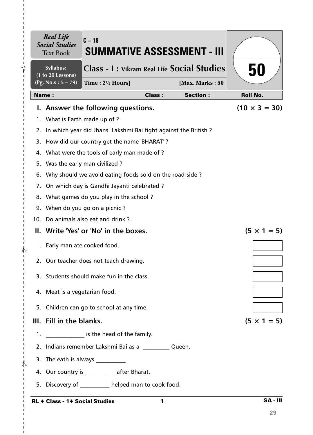|         | <b>Real Life</b><br><b>Social Studies</b><br><b>Text Book</b> | $C-18$<br>SUMMATIVE ASSESSMENT - III                            |               |                 |                      |
|---------|---------------------------------------------------------------|-----------------------------------------------------------------|---------------|-----------------|----------------------|
|         | Syllabus:<br>(1 to 20 Lessons)                                | <b>Class - I: Vikram Real Life Social Studies</b>               |               |                 | 50                   |
|         | (Pg. No.s: 5 – 79)                                            | Time: $2\frac{1}{2}$ Hours]                                     |               | [Max. Marks: 50 |                      |
|         | <b>Name:</b>                                                  |                                                                 | <b>Class:</b> | <b>Section:</b> | <b>Roll No.</b>      |
|         |                                                               | I. Answer the following questions.                              |               |                 | $(10 \times 3 = 30)$ |
|         | 1. What is Earth made up of ?                                 |                                                                 |               |                 |                      |
| 2.      |                                                               | In which year did Jhansi Lakshmi Bai fight against the British? |               |                 |                      |
|         |                                                               | 3. How did our country get the name 'BHARAT'?                   |               |                 |                      |
|         |                                                               | 4. What were the tools of early man made of?                    |               |                 |                      |
| 5.      |                                                               | Was the early man civilized?                                    |               |                 |                      |
| 6.      |                                                               | Why should we avoid eating foods sold on the road-side?         |               |                 |                      |
| 7.      |                                                               | On which day is Gandhi Jayanti celebrated ?                     |               |                 |                      |
| 8.      |                                                               | What games do you play in the school?                           |               |                 |                      |
| 9.      |                                                               | When do you go on a picnic?                                     |               |                 |                      |
|         |                                                               | 10. Do animals also eat and drink ?.                            |               |                 |                      |
|         |                                                               | II. Write 'Yes' or 'No' in the boxes.                           |               |                 | $(5 \times 1 = 5)$   |
|         |                                                               | Early man ate cooked food.                                      |               |                 |                      |
|         |                                                               | 2. Our teacher does not teach drawing.                          |               |                 |                      |
|         |                                                               | 3. Students should make fun in the class.                       |               |                 |                      |
|         | 4. Meat is a vegetarian food.                                 |                                                                 |               |                 |                      |
|         |                                                               | 5. Children can go to school at any time.                       |               |                 |                      |
|         | III. Fill in the blanks.                                      |                                                                 |               |                 | $(5 \times 1 = 5)$   |
| $1_{-}$ |                                                               | is the head of the family.                                      |               |                 |                      |
|         |                                                               | 2. Indians remember Lakshmi Bai as a Cueen.                     |               |                 |                      |
|         |                                                               | 3. The eath is always                                           |               |                 |                      |
|         |                                                               | 4. Our country is ____________ after Bharat.                    |               |                 |                      |
|         |                                                               | 5. Discovery of helped man to cook food.                        |               |                 |                      |
|         |                                                               | RL $\div$ Class - 1 $\div$ Social Studies                       | 1             |                 | <b>SA-III</b>        |

### RL ✦ Class - 1✦ Social Studies

 $- \frac{2}{3}$ 

I.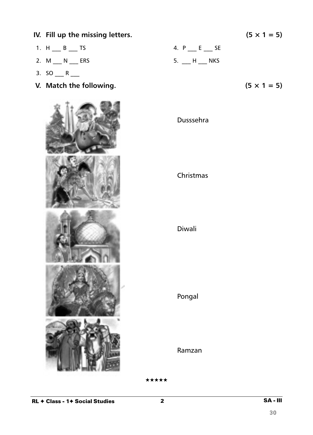1. H  $_B$  TS 4. P  $_E$  SE 2. M \_\_\_ N \_\_\_ ERS 5. \_\_ H \_\_\_ NKS 3.  $SO_{11}R_{22}$ **V.** Match the following.  $(5 \times 1 = 5)$ Dusssehra Christmas Diwali Pongal Ramzan

**IV.** Fill up the missing letters.  $(5 \times 1 = 5)$ 

★★★★★

 $2 \overline{\qquad \qquad }$  SA - III